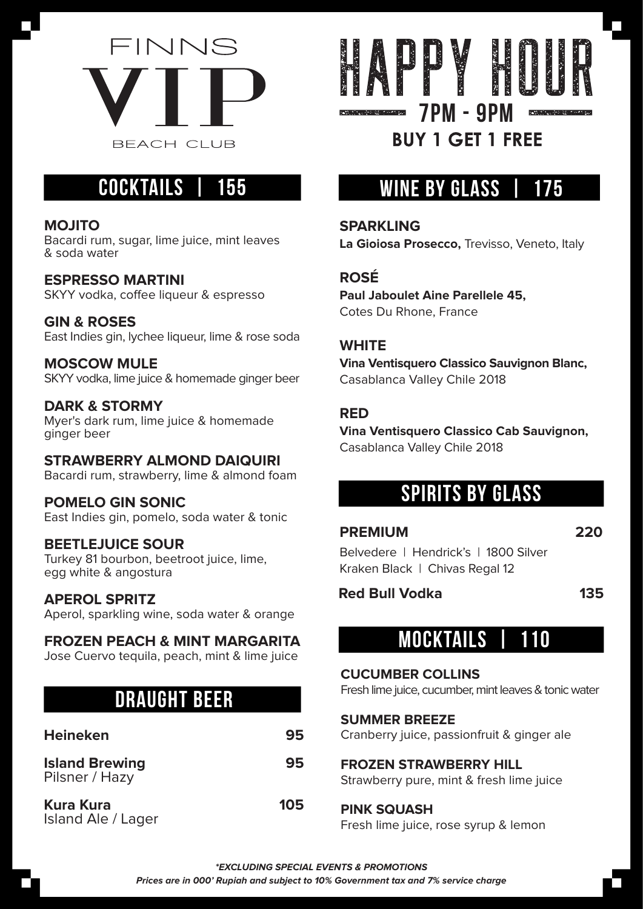

# **COCKTAILS | 155**

#### **MOJITO**

Bacardi rum, sugar, lime juice, mint leaves & soda water

**ESPRESSO MARTINI** SKYY vodka, coffee liqueur & espresso

**GIN & ROSES** East Indies gin, lychee liqueur, lime & rose soda

**MOSCOW MULE** SKYY vodka, lime juice & homemade ginger beer

**DARK & STORMY** Myer's dark rum, lime juice & homemade ginger beer

#### **STRAWBERRY ALMOND DAIQUIRI**

Bacardi rum, strawberry, lime & almond foam

## **POMELO GIN SONIC**

East Indies gin, pomelo, soda water & tonic

#### **BEETLEJUICE SOUR**

Turkey 81 bourbon, beetroot juice, lime, egg white & angostura

#### **APEROL SPRITZ**

Aperol, sparkling wine, soda water & orange

## **FROZEN PEACH & MINT MARGARITA**

Jose Cuervo tequila, peach, mint & lime juice

# **DRAUGHT BEER**

| <b>Heineken</b>                         | 95  |
|-----------------------------------------|-----|
| <b>Island Brewing</b><br>Pilsner / Hazy | 95  |
| <b>Kura Kura</b><br>Island Ale / Lager  | 105 |



# **WINE BY GLASS**

**SPARKLING**

**La Gioiosa Prosecco,** Trevisso, Veneto, Italy

## **ROSÉ**

**Paul Jaboulet Aine Parellele 45,**  Cotes Du Rhone, France

## **WHITE**

**Vina Ventisquero Classico Sauvignon Blanc,** Casablanca Valley Chile 2018

#### **RED**

**Vina Ventisquero Classico Cab Sauvignon,** Casablanca Valley Chile 2018

## **SPIRITS BY GLASS**

**PREMIUM 220** Belvedere | Hendrick's | 1800 Silver Kraken Black | Chivas Regal 12

## Red Bull Vodka **135**

# **MOCKTAILS | 110**

#### **CUCUMBER COLLINS**

Fresh lime juice, cucumber, mint leaves & tonic water

#### **SUMMER BREEZE**

Cranberry juice, passionfruit & ginger ale

## **FROZEN STRAWBERRY HILL**

Strawberry pure, mint & fresh lime juice

## **PINK SQUASH**

Fresh lime juice, rose syrup & lemon